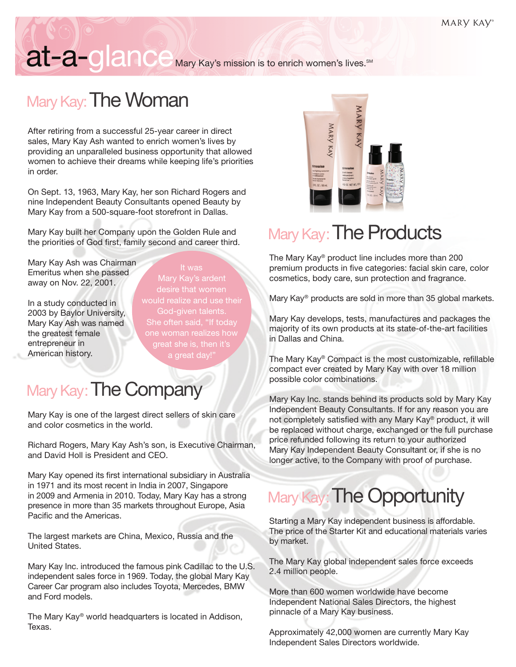# at-a-glance Mary Kay's mission is to enrich women's lives.<sup>SM</sup>

#### Mary Kay: The Woman

 After retiring from a successful 25-year career in direct sales, Mary Kay Ash wanted to enrich women's lives by providing an unparalleled business opportunity that allowed women to achieve their dreams while keeping life's priorities in order.

On Sept. 13, 1963, Mary Kay, her son Richard Rogers and nine Independent Beauty Consultants opened Beauty by Mary Kay from a 500-square-foot storefront in Dallas.

Mary Kay built her Company upon the Golden Rule and the priorities of God first, family second and career third.

Mary Kay Ash was Chairman Emeritus when she passed away on Nov. 22, 2001.

In a study conducted in 2003 by Baylor University, Mary Kay Ash was named the greatest female entrepreneur in American history.

Mary Kay's ardent desire that women would realize and use their God-given talents. She often said, "If today great she is, then it's

#### Mary Kay: The Company

Mary Kay is one of the largest direct sellers of skin care and color cosmetics in the world.

Richard Rogers, Mary Kay Ash's son, is Executive Chairman, and David Holl is President and CEO.

Mary Kay opened its first international subsidiary in Australia in 1971 and its most recent in India in 2007, Singapore in 2009 and Armenia in 2010. Today, Mary Kay has a strong presence in more than 35 markets throughout Europe, Asia Pacific and the Americas.

The largest markets are China, Mexico, Russia and the United States.

Mary Kay Inc. introduced the famous pink Cadillac to the U.S. independent sales force in 1969. Today, the global Mary Kay Career Car program also includes Toyota, Mercedes, BMW and Ford models.

The Mary Kay® world headquarters is located in Addison, Texas.



### Mary Kay: The Products

 The Mary Kay® product line includes more than 200 premium products in five categories: facial skin care, color cosmetics, body care, sun protection and fragrance.

Mary Kay® products are sold in more than 35 global markets.

Mary Kay develops, tests, manufactures and packages the majority of its own products at its state-of-the-art facilities in Dallas and China.

The Mary Kay® Compact is the most customizable, refillable compact ever created by Mary Kay with over 18 million possible color combinations.

 Mary Kay Inc. stands behind its products sold by Mary Kay Independent Beauty Consultants. If for any reason you are not completely satisfied with any Mary Kay® product, it will be replaced without charge, exchanged or the full purchase price refunded following its return to your authorized Mary Kay Independent Beauty Consultant or, if she is no longer active, to the Company with proof of purchase.

### Mary Kay: The Opportunity

 Starting a Mary Kay independent business is affordable. The price of the Starter Kit and educational materials varies by market.

The Mary Kay global independent sales force exceeds 2.4 million people.

More than 600 women worldwide have become Independent National Sales Directors, the highest pinnacle of a Mary Kay business.

Approximately 42,000 women are currently Mary Kay Independent Sales Directors worldwide.